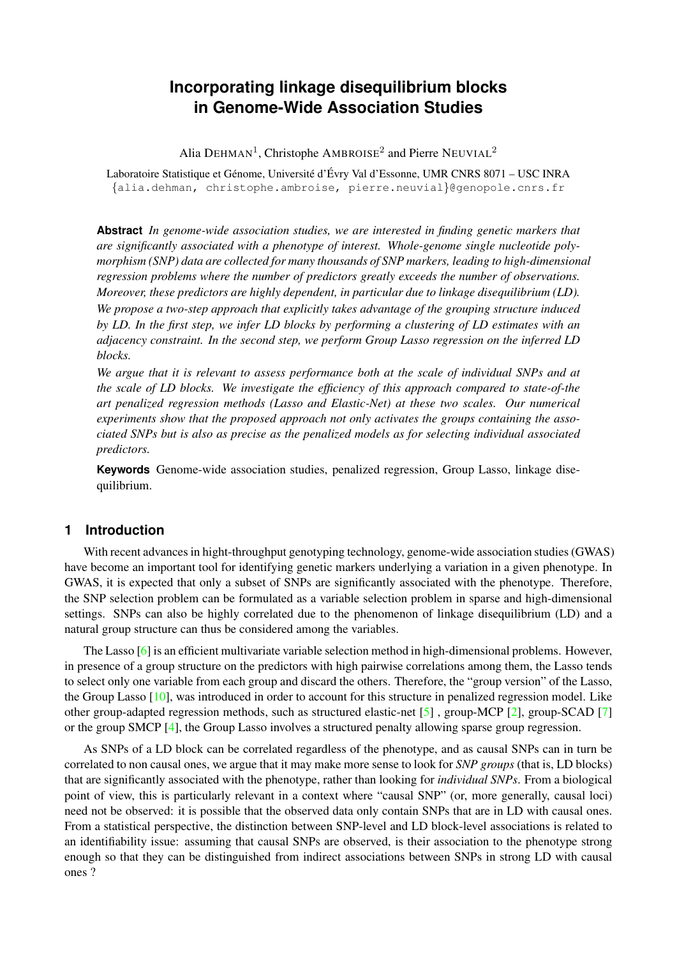# **Incorporating linkage disequilibrium blocks in Genome-Wide Association Studies**

Alia DEHMAN<sup>1</sup>, Christophe AMBROISE<sup>2</sup> and Pierre NEUVIAL<sup>2</sup>

Laboratoire Statistique et Génome, Université d'Évry Val d'Essonne, UMR CNRS 8071 – USC INRA {alia.dehman, christophe.ambroise, pierre.neuvial}@genopole.cnrs.fr

**Abstract** *In genome-wide association studies, we are interested in finding genetic markers that are significantly associated with a phenotype of interest. Whole-genome single nucleotide polymorphism (SNP) data are collected for many thousands of SNP markers, leading to high-dimensional regression problems where the number of predictors greatly exceeds the number of observations. Moreover, these predictors are highly dependent, in particular due to linkage disequilibrium (LD).*

*We propose a two-step approach that explicitly takes advantage of the grouping structure induced by LD. In the first step, we infer LD blocks by performing a clustering of LD estimates with an adjacency constraint. In the second step, we perform Group Lasso regression on the inferred LD blocks.*

*We argue that it is relevant to assess performance both at the scale of individual SNPs and at the scale of LD blocks. We investigate the efficiency of this approach compared to state-of-the art penalized regression methods (Lasso and Elastic-Net) at these two scales. Our numerical experiments show that the proposed approach not only activates the groups containing the associated SNPs but is also as precise as the penalized models as for selecting individual associated predictors.*

**Keywords** Genome-wide association studies, penalized regression, Group Lasso, linkage disequilibrium.

## <span id="page-0-0"></span>**1 Introduction**

With recent advances in hight-throughput genotyping technology, genome-wide association studies (GWAS) have become an important tool for identifying genetic markers underlying a variation in a given phenotype. In GWAS, it is expected that only a subset of SNPs are significantly associated with the phenotype. Therefore, the SNP selection problem can be formulated as a variable selection problem in sparse and high-dimensional settings. SNPs can also be highly correlated due to the phenomenon of linkage disequilibrium (LD) and a natural group structure can thus be considered among the variables.

The Lasso [\[6\]](#page-5-0) is an efficient multivariate variable selection method in high-dimensional problems. However, in presence of a group structure on the predictors with high pairwise correlations among them, the Lasso tends to select only one variable from each group and discard the others. Therefore, the "group version" of the Lasso, the Group Lasso [\[10\]](#page-6-0), was introduced in order to account for this structure in penalized regression model. Like other group-adapted regression methods, such as structured elastic-net  $[5]$ , group-MCP  $[2]$ , group-SCAD  $[7]$ or the group SMCP [\[4\]](#page-5-3), the Group Lasso involves a structured penalty allowing sparse group regression.

As SNPs of a LD block can be correlated regardless of the phenotype, and as causal SNPs can in turn be correlated to non causal ones, we argue that it may make more sense to look for *SNP groups* (that is, LD blocks) that are significantly associated with the phenotype, rather than looking for *individual SNPs*. From a biological point of view, this is particularly relevant in a context where "causal SNP" (or, more generally, causal loci) need not be observed: it is possible that the observed data only contain SNPs that are in LD with causal ones. From a statistical perspective, the distinction between SNP-level and LD block-level associations is related to an identifiability issue: assuming that causal SNPs are observed, is their association to the phenotype strong enough so that they can be distinguished from indirect associations between SNPs in strong LD with causal ones ?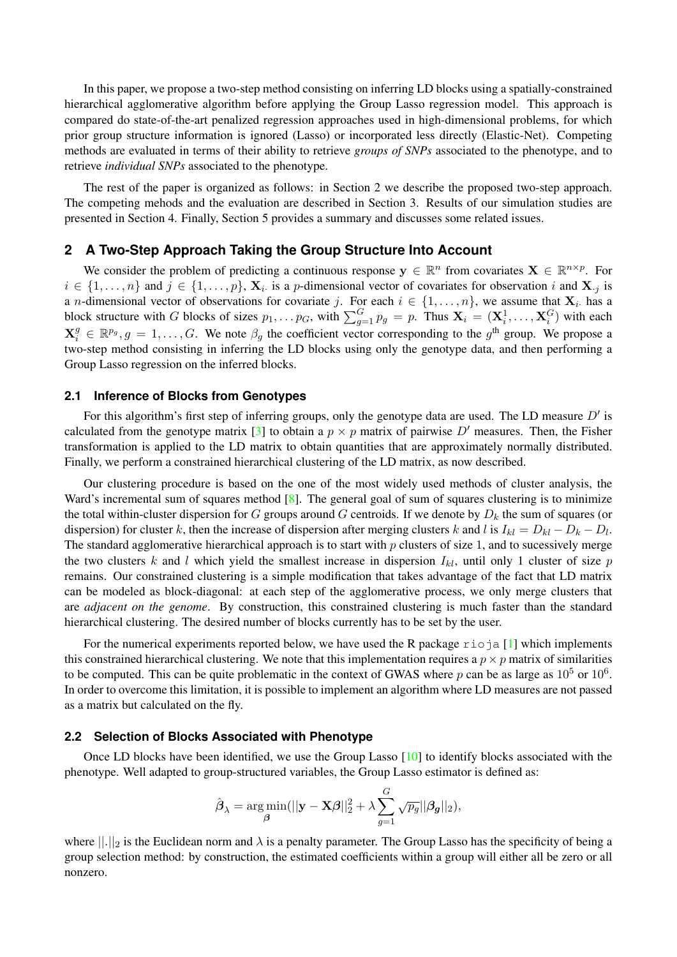In this paper, we propose a two-step method consisting on inferring LD blocks using a spatially-constrained hierarchical agglomerative algorithm before applying the Group Lasso regression model. This approach is compared do state-of-the-art penalized regression approaches used in high-dimensional problems, for which prior group structure information is ignored (Lasso) or incorporated less directly (Elastic-Net). Competing methods are evaluated in terms of their ability to retrieve *groups of SNPs* associated to the phenotype, and to retrieve *individual SNPs* associated to the phenotype.

The rest of the paper is organized as follows: in Section [2](#page-1-0) we describe the proposed two-step approach. The competing mehods and the evaluation are described in Section [3.](#page-2-0) Results of our simulation studies are presented in Section [4.](#page-2-1) Finally, Section [5](#page-4-0) provides a summary and discusses some related issues.

## **2 A Two-Step Approach Taking the Group Structure Into Account**

<span id="page-1-0"></span>We consider the problem of predicting a continuous response  $y \in \mathbb{R}^n$  from covariates  $X \in \mathbb{R}^{n \times p}$ . For  $i \in \{1, \ldots, n\}$  and  $j \in \{1, \ldots, p\}$ ,  $\mathbf{X}_i$  is a p-dimensional vector of covariates for observation i and  $\mathbf{X}_{.j}$  is a *n*-dimensional vector of observations for covariate j. For each  $i \in \{1, \ldots, n\}$ , we assume that  $\mathbf{X}_i$  has a block structure with G blocks of sizes  $p_1, \ldots p_G$ , with  $\sum_{g=1}^G p_g = p$ . Thus  $\mathbf{X}_i = (\mathbf{X}_i^1, \ldots, \mathbf{X}_i^G)$  with each  $\mathbf{X}_i^g \in \mathbb{R}^{p_g}, g = 1, \ldots, G$ . We note  $\beta_g$  the coefficient vector corresponding to the  $g^{\text{th}}$  group. We propose a two-step method consisting in inferring the LD blocks using only the genotype data, and then performing a Group Lasso regression on the inferred blocks.

## **2.1 Inference of Blocks from Genotypes**

For this algorithm's first step of inferring groups, only the genotype data are used. The LD measure  $D'$  is calculated from the genotype matrix [\[3\]](#page-5-4) to obtain a  $p \times p$  matrix of pairwise D' measures. Then, the Fisher transformation is applied to the LD matrix to obtain quantities that are approximately normally distributed. Finally, we perform a constrained hierarchical clustering of the LD matrix, as now described.

Our clustering procedure is based on the one of the most widely used methods of cluster analysis, the Ward's incremental sum of squares method [\[8\]](#page-6-2). The general goal of sum of squares clustering is to minimize the total within-cluster dispersion for G groups around G centroids. If we denote by  $D_k$  the sum of squares (or dispersion) for cluster k, then the increase of dispersion after merging clusters k and l is  $I_{kl} = D_{kl} - D_k - D_l$ . The standard agglomerative hierarchical approach is to start with  $p$  clusters of size 1, and to sucessively merge the two clusters k and l which yield the smallest increase in dispersion  $I_{kl}$ , until only 1 cluster of size p remains. Our constrained clustering is a simple modification that takes advantage of the fact that LD matrix can be modeled as block-diagonal: at each step of the agglomerative process, we only merge clusters that are *adjacent on the genome*. By construction, this constrained clustering is much faster than the standard hierarchical clustering. The desired number of blocks currently has to be set by the user.

For the numerical experiments reported below, we have used the R package  $\tau$  is a [\[1\]](#page-5-5) which implements this constrained hierarchical clustering. We note that this implementation requires a  $p \times p$  matrix of similarities to be computed. This can be quite problematic in the context of GWAS where p can be as large as  $10^5$  or  $10^6$ . In order to overcome this limitation, it is possible to implement an algorithm where LD measures are not passed as a matrix but calculated on the fly.

#### **2.2 Selection of Blocks Associated with Phenotype**

Once LD blocks have been identified, we use the Group Lasso [\[10\]](#page-6-0) to identify blocks associated with the phenotype. Well adapted to group-structured variables, the Group Lasso estimator is defined as:

$$
\hat{\boldsymbol{\beta}}_{\lambda} = \argmin_{\boldsymbol{\beta}}(||\mathbf{y} - \mathbf{X}\boldsymbol{\beta}||_2^2 + \lambda \sum_{g=1}^G \sqrt{p_g} ||\boldsymbol{\beta_g}||_2),
$$

where  $||.||_2$  is the Euclidean norm and  $\lambda$  is a penalty parameter. The Group Lasso has the specificity of being a group selection method: by construction, the estimated coefficients within a group will either all be zero or all nonzero.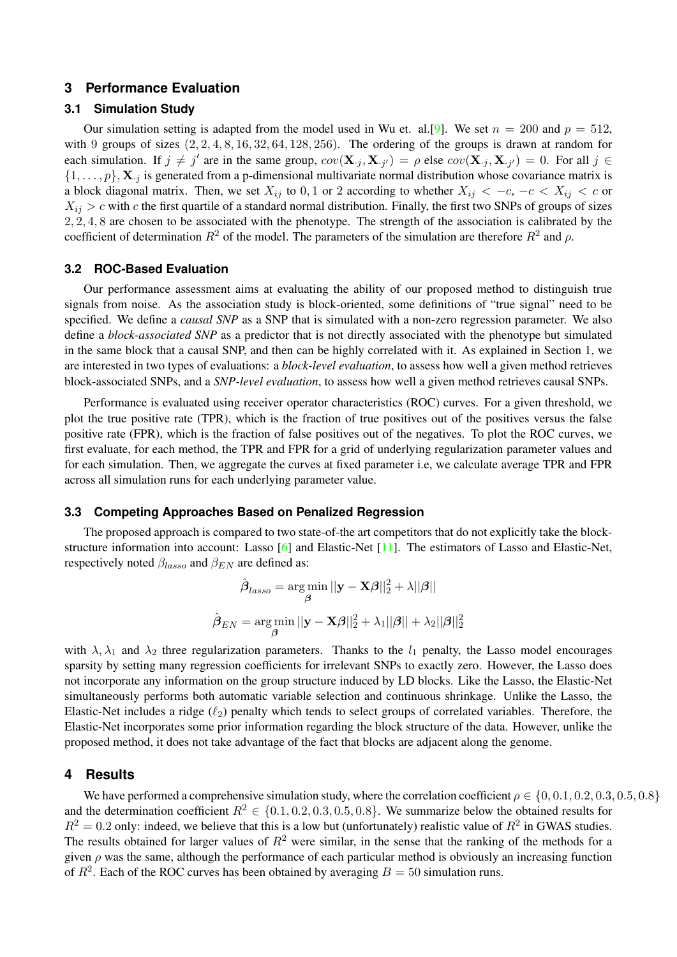## <span id="page-2-0"></span>**3 Performance Evaluation**

## **3.1 Simulation Study**

Our simulation setting is adapted from the model used in Wu et. al. [\[9\]](#page-6-3). We set  $n = 200$  and  $p = 512$ , with 9 groups of sizes  $(2, 2, 4, 8, 16, 32, 64, 128, 256)$ . The ordering of the groups is drawn at random for each simulation. If  $j \neq j'$  are in the same group,  $cov(\mathbf{X}_{\cdot j}, \mathbf{X}_{\cdot j'}) = \rho$  else  $cov(\mathbf{X}_{\cdot j}, \mathbf{X}_{\cdot j'}) = 0$ . For all  $j \in$  $\{1,\ldots,p\}$ ,  $X_{i,j}$  is generated from a p-dimensional multivariate normal distribution whose covariance matrix is a block diagonal matrix. Then, we set  $X_{ij}$  to 0, 1 or 2 according to whether  $X_{ij} < -c$ ,  $-c < X_{ij} < c$  or  $X_{ij} > c$  with c the first quartile of a standard normal distribution. Finally, the first two SNPs of groups of sizes 2, 2, 4, 8 are chosen to be associated with the phenotype. The strength of the association is calibrated by the coefficient of determination  $R^2$  of the model. The parameters of the simulation are therefore  $R^2$  and  $\rho$ .

## **3.2 ROC-Based Evaluation**

Our performance assessment aims at evaluating the ability of our proposed method to distinguish true signals from noise. As the association study is block-oriented, some definitions of "true signal" need to be specified. We define a *causal SNP* as a SNP that is simulated with a non-zero regression parameter. We also define a *block-associated SNP* as a predictor that is not directly associated with the phenotype but simulated in the same block that a causal SNP, and then can be highly correlated with it. As explained in Section [1,](#page-0-0) we are interested in two types of evaluations: a *block-level evaluation*, to assess how well a given method retrieves block-associated SNPs, and a *SNP-level evaluation*, to assess how well a given method retrieves causal SNPs.

Performance is evaluated using receiver operator characteristics (ROC) curves. For a given threshold, we plot the true positive rate (TPR), which is the fraction of true positives out of the positives versus the false positive rate (FPR), which is the fraction of false positives out of the negatives. To plot the ROC curves, we first evaluate, for each method, the TPR and FPR for a grid of underlying regularization parameter values and for each simulation. Then, we aggregate the curves at fixed parameter i.e, we calculate average TPR and FPR across all simulation runs for each underlying parameter value.

#### **3.3 Competing Approaches Based on Penalized Regression**

The proposed approach is compared to two state-of-the art competitors that do not explicitly take the blockstructure information into account: Lasso [\[6\]](#page-5-0) and Elastic-Net [\[11\]](#page-6-4). The estimators of Lasso and Elastic-Net, respectively noted  $\beta_{lasso}$  and  $\beta_{EN}$  are defined as:

$$
\hat{\boldsymbol{\beta}}_{lasso} = \underset{\boldsymbol{\beta}}{\arg\min} ||\mathbf{y} - \mathbf{X}\boldsymbol{\beta}||_2^2 + \lambda ||\boldsymbol{\beta}||
$$

$$
\hat{\boldsymbol{\beta}}_{EN} = \underset{\boldsymbol{\beta}}{\arg\min} ||\mathbf{y} - \mathbf{X}\boldsymbol{\beta}||_2^2 + \lambda_1 ||\boldsymbol{\beta}|| + \lambda_2 ||\boldsymbol{\beta}||_2^2
$$

with  $\lambda$ ,  $\lambda_1$  and  $\lambda_2$  three regularization parameters. Thanks to the  $l_1$  penalty, the Lasso model encourages sparsity by setting many regression coefficients for irrelevant SNPs to exactly zero. However, the Lasso does not incorporate any information on the group structure induced by LD blocks. Like the Lasso, the Elastic-Net simultaneously performs both automatic variable selection and continuous shrinkage. Unlike the Lasso, the Elastic-Net includes a ridge  $(\ell_2)$  penalty which tends to select groups of correlated variables. Therefore, the Elastic-Net incorporates some prior information regarding the block structure of the data. However, unlike the proposed method, it does not take advantage of the fact that blocks are adjacent along the genome.

### **4 Results**

<span id="page-2-1"></span>We have performed a comprehensive simulation study, where the correlation coefficient  $\rho \in \{0, 0.1, 0.2, 0.3, 0.5, 0.8\}$ and the determination coefficient  $R^2 \in \{0.1, 0.2, 0.3, 0.5, 0.8\}$ . We summarize below the obtained results for  $R^2 = 0.2$  only: indeed, we believe that this is a low but (unfortunately) realistic value of  $R^2$  in GWAS studies. The results obtained for larger values of  $R^2$  were similar, in the sense that the ranking of the methods for a given  $\rho$  was the same, although the performance of each particular method is obviously an increasing function of  $R^2$ . Each of the ROC curves has been obtained by averaging  $B = 50$  simulation runs.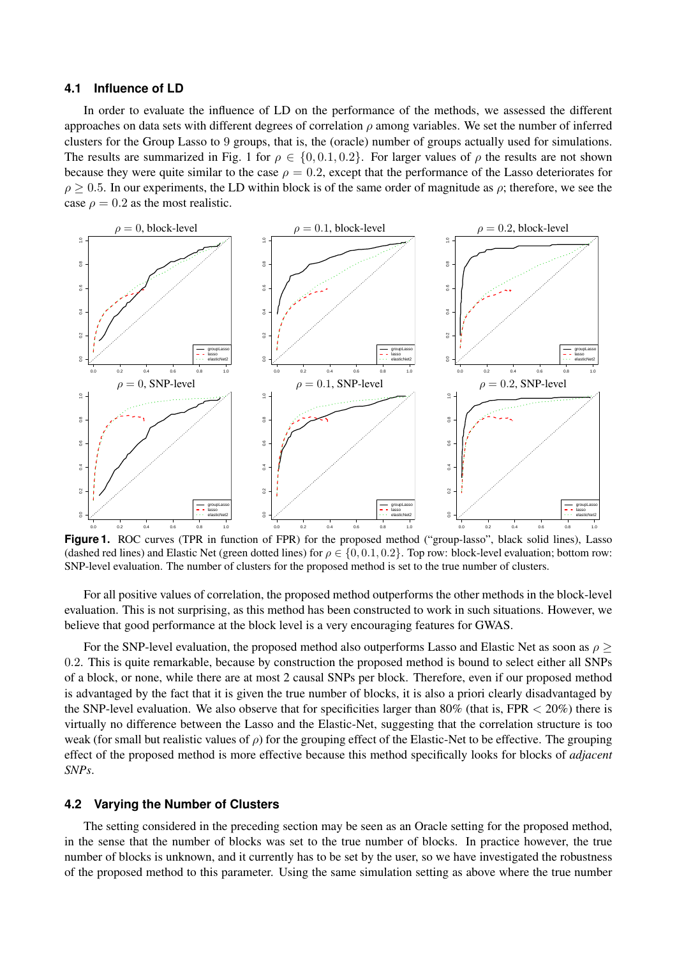#### **4.1 Influence of LD**

In order to evaluate the influence of LD on the performance of the methods, we assessed the different approaches on data sets with different degrees of correlation  $\rho$  among variables. We set the number of inferred clusters for the Group Lasso to 9 groups, that is, the (oracle) number of groups actually used for simulations. The results are summarized in [Fig. 1](#page-3-0) for  $\rho \in \{0, 0.1, 0.2\}$ . For larger values of  $\rho$  the results are not shown because they were quite similar to the case  $\rho = 0.2$ , except that the performance of the Lasso deteriorates for  $\rho \geq 0.5$ . In our experiments, the LD within block is of the same order of magnitude as  $\rho$ ; therefore, we see the case  $\rho = 0.2$  as the most realistic.



<span id="page-3-0"></span>**Figure 1.** ROC curves (TPR in function of FPR) for the proposed method ("group-lasso", black solid lines), Lasso (dashed red lines) and Elastic Net (green dotted lines) for  $\rho \in \{0, 0.1, 0.2\}$ . Top row: block-level evaluation; bottom row: SNP-level evaluation. The number of clusters for the proposed method is set to the true number of clusters.

For all positive values of correlation, the proposed method outperforms the other methods in the block-level evaluation. This is not surprising, as this method has been constructed to work in such situations. However, we believe that good performance at the block level is a very encouraging features for GWAS.

For the SNP-level evaluation, the proposed method also outperforms Lasso and Elastic Net as soon as  $\rho$  > 0.2. This is quite remarkable, because by construction the proposed method is bound to select either all SNPs of a block, or none, while there are at most 2 causal SNPs per block. Therefore, even if our proposed method is advantaged by the fact that it is given the true number of blocks, it is also a priori clearly disadvantaged by the SNP-level evaluation. We also observe that for specificities larger than 80% (that is, FPR  $<$  20%) there is virtually no difference between the Lasso and the Elastic-Net, suggesting that the correlation structure is too weak (for small but realistic values of  $\rho$ ) for the grouping effect of the Elastic-Net to be effective. The grouping effect of the proposed method is more effective because this method specifically looks for blocks of *adjacent SNPs*.

### **4.2 Varying the Number of Clusters**

<span id="page-3-1"></span>The setting considered in the preceding section may be seen as an Oracle setting for the proposed method, in the sense that the number of blocks was set to the true number of blocks. In practice however, the true number of blocks is unknown, and it currently has to be set by the user, so we have investigated the robustness of the proposed method to this parameter. Using the same simulation setting as above where the true number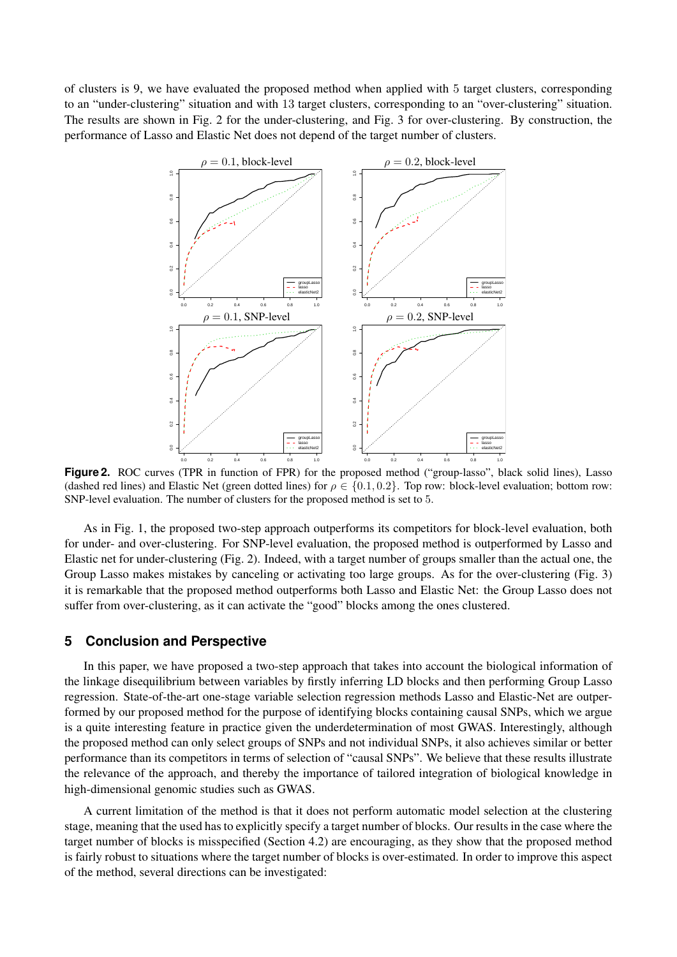of clusters is 9, we have evaluated the proposed method when applied with 5 target clusters, corresponding to an "under-clustering" situation and with 13 target clusters, corresponding to an "over-clustering" situation. The results are shown in [Fig. 2](#page-4-1) for the under-clustering, and [Fig. 3](#page-5-6) for over-clustering. By construction, the performance of Lasso and Elastic Net does not depend of the target number of clusters.



<span id="page-4-1"></span>Figure 2. ROC curves (TPR in function of FPR) for the proposed method ("group-lasso", black solid lines), Lasso (dashed red lines) and Elastic Net (green dotted lines) for  $\rho \in \{0.1, 0.2\}$ . Top row: block-level evaluation; bottom row: SNP-level evaluation. The number of clusters for the proposed method is set to 5.

As in [Fig. 1,](#page-3-0) the proposed two-step approach outperforms its competitors for block-level evaluation, both for under- and over-clustering. For SNP-level evaluation, the proposed method is outperformed by Lasso and Elastic net for under-clustering [\(Fig. 2\)](#page-4-1). Indeed, with a target number of groups smaller than the actual one, the Group Lasso makes mistakes by canceling or activating too large groups. As for the over-clustering [\(Fig. 3\)](#page-5-6) it is remarkable that the proposed method outperforms both Lasso and Elastic Net: the Group Lasso does not suffer from over-clustering, as it can activate the "good" blocks among the ones clustered.

## **5 Conclusion and Perspective**

<span id="page-4-0"></span>In this paper, we have proposed a two-step approach that takes into account the biological information of the linkage disequilibrium between variables by firstly inferring LD blocks and then performing Group Lasso regression. State-of-the-art one-stage variable selection regression methods Lasso and Elastic-Net are outperformed by our proposed method for the purpose of identifying blocks containing causal SNPs, which we argue is a quite interesting feature in practice given the underdetermination of most GWAS. Interestingly, although the proposed method can only select groups of SNPs and not individual SNPs, it also achieves similar or better performance than its competitors in terms of selection of "causal SNPs". We believe that these results illustrate the relevance of the approach, and thereby the importance of tailored integration of biological knowledge in high-dimensional genomic studies such as GWAS.

A current limitation of the method is that it does not perform automatic model selection at the clustering stage, meaning that the used has to explicitly specify a target number of blocks. Our results in the case where the target number of blocks is misspecified (Section [4.2\)](#page-3-1) are encouraging, as they show that the proposed method is fairly robust to situations where the target number of blocks is over-estimated. In order to improve this aspect of the method, several directions can be investigated: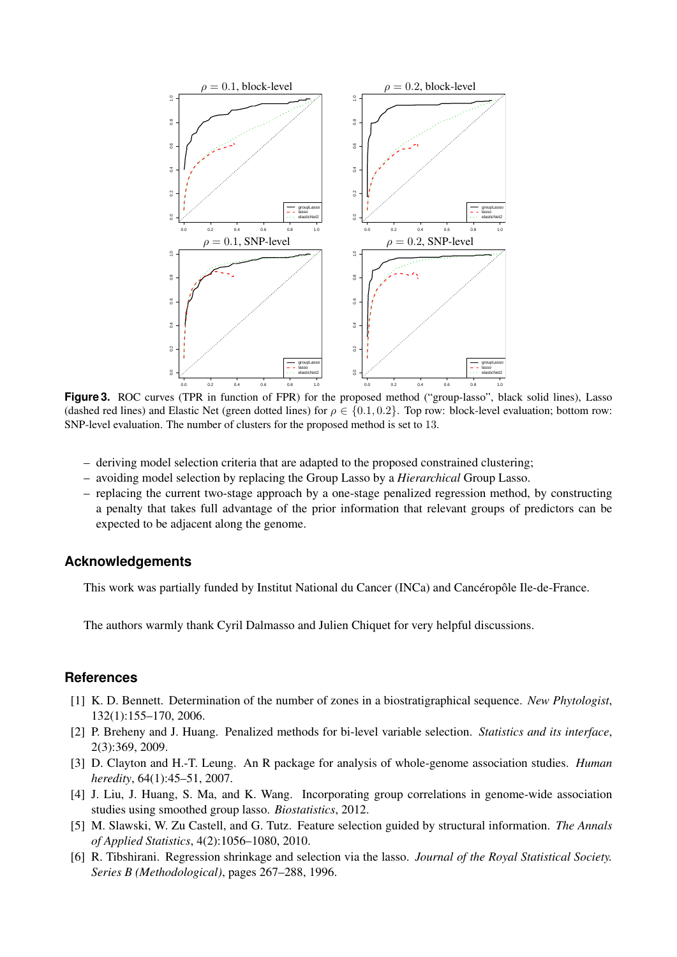

<span id="page-5-6"></span>Figure 3. ROC curves (TPR in function of FPR) for the proposed method ("group-lasso", black solid lines), Lasso (dashed red lines) and Elastic Net (green dotted lines) for  $\rho \in \{0.1, 0.2\}$ . Top row: block-level evaluation; bottom row: SNP-level evaluation. The number of clusters for the proposed method is set to 13.

- deriving model selection criteria that are adapted to the proposed constrained clustering;
- avoiding model selection by replacing the Group Lasso by a *Hierarchical* Group Lasso.
- replacing the current two-stage approach by a one-stage penalized regression method, by constructing a penalty that takes full advantage of the prior information that relevant groups of predictors can be expected to be adjacent along the genome.

## **Acknowledgements**

This work was partially funded by Institut National du Cancer (INCa) and Cancéropôle Ile-de-France.

The authors warmly thank Cyril Dalmasso and Julien Chiquet for very helpful discussions.

## **References**

- <span id="page-5-5"></span>[1] K. D. Bennett. Determination of the number of zones in a biostratigraphical sequence. *New Phytologist*, 132(1):155–170, 2006.
- <span id="page-5-2"></span>[2] P. Breheny and J. Huang. Penalized methods for bi-level variable selection. *Statistics and its interface*, 2(3):369, 2009.
- <span id="page-5-4"></span>[3] D. Clayton and H.-T. Leung. An R package for analysis of whole-genome association studies. *Human heredity*, 64(1):45–51, 2007.
- <span id="page-5-3"></span>[4] J. Liu, J. Huang, S. Ma, and K. Wang. Incorporating group correlations in genome-wide association studies using smoothed group lasso. *Biostatistics*, 2012.
- <span id="page-5-1"></span>[5] M. Slawski, W. Zu Castell, and G. Tutz. Feature selection guided by structural information. *The Annals of Applied Statistics*, 4(2):1056–1080, 2010.
- <span id="page-5-0"></span>[6] R. Tibshirani. Regression shrinkage and selection via the lasso. *Journal of the Royal Statistical Society. Series B (Methodological)*, pages 267–288, 1996.